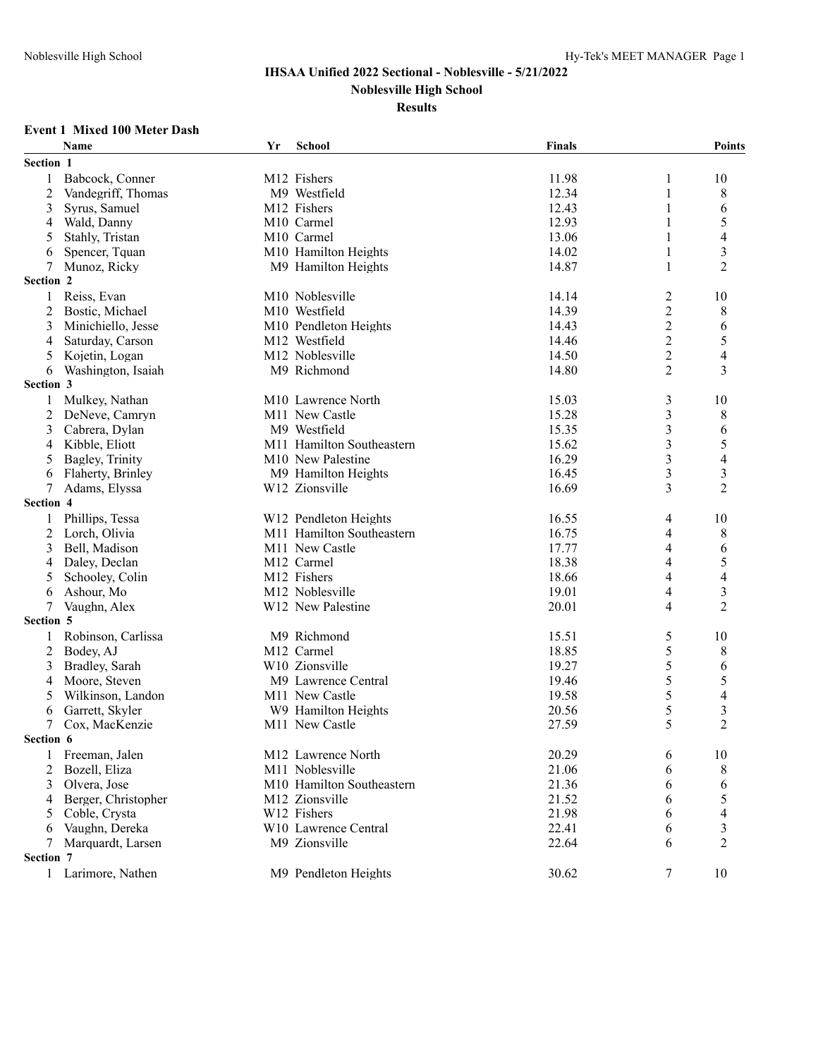# **Results**

#### **Event 1 Mixed 100 Meter Dash**

| Section 1<br>M12 Fishers<br>Babcock, Conner<br>11.98<br>1<br>10<br>1<br>$\overline{c}$<br>Vandegriff, Thomas<br>M9 Westfield<br>12.34<br>$\mathbf{1}$<br>8<br>3<br>M12 Fishers<br>12.43<br>6<br>Syrus, Samuel<br>1<br>5<br>12.93<br>Wald, Danny<br>M <sub>10</sub> Carmel<br>4<br>1<br>4<br>13.06<br>5<br>Stahly, Tristan<br>M10 Carmel<br>1<br>3<br>M10 Hamilton Heights<br>14.02<br>Spencer, Tquan<br>1<br>6<br>$\overline{2}$<br>M9 Hamilton Heights<br>14.87<br>7<br>Munoz, Ricky<br>1<br>Section 2<br>M10 Noblesville<br>Reiss, Evan<br>14.14<br>2<br>10<br>1<br>14.39<br>$\overline{c}$<br>Bostic, Michael<br>M10 Westfield<br>8<br>2<br>$\overline{2}$<br>M10 Pendleton Heights<br>14.43<br>6<br>3<br>Minichiello, Jesse<br>5<br>$\overline{2}$<br>Saturday, Carson<br>M12 Westfield<br>14.46<br>4<br>$\overline{\mathbf{4}}$<br>$\overline{c}$<br>Kojetin, Logan<br>M12 Noblesville<br>14.50<br>5<br>$\overline{2}$<br>3<br>Washington, Isaiah<br>M9 Richmond<br>14.80<br>6<br>Section 3<br>15.03<br>$\mathfrak{Z}$<br>Mulkey, Nathan<br>10<br>1<br>M <sub>10</sub> Lawrence North<br>15.28<br>3<br>2<br>DeNeve, Camryn<br>M <sub>11</sub> New Castle<br>8<br>M9 Westfield<br>15.35<br>3<br>6<br>3<br>Cabrera, Dylan<br>5<br>M11 Hamilton Southeastern<br>3<br>Kibble, Eliott<br>15.62<br>4<br>$\overline{\mathcal{A}}$<br>$\mathfrak{Z}$<br>M10 New Palestine<br>16.29<br>5<br>Bagley, Trinity<br>3<br>M9 Hamilton Heights<br>16.45<br>3<br>Flaherty, Brinley<br>6<br>$\overline{2}$<br>$\tau$<br>W12 Zionsville<br>16.69<br>3<br>Adams, Elyssa<br>Section 4<br>W12 Pendleton Heights<br>16.55<br>Phillips, Tessa<br>10<br>1<br>4<br>M11 Hamilton Southeastern<br>16.75<br>8<br>2<br>Lorch, Olivia<br>4<br>Bell, Madison<br>M11 New Castle<br>17.77<br>4<br>6<br>3<br>5<br>M12 Carmel<br>18.38<br>4<br>Daley, Declan<br>4<br>M12 Fishers<br>$\overline{4}$<br>5<br>Schooley, Colin<br>18.66<br>4<br>3<br>M12 Noblesville<br>19.01<br>Ashour, Mo<br>4<br>6<br>$\overline{2}$<br>20.01<br>7<br>Vaughn, Alex<br>W12 New Palestine<br>4<br>Section 5<br>M9 Richmond<br>15.51<br>5<br>Robinson, Carlissa<br>10<br>1<br>5<br>$\overline{c}$<br>M12 Carmel<br>18.85<br>8<br>Bodey, AJ<br>5<br>6<br>W10 Zionsville<br>19.27<br>3<br>Bradley, Sarah<br>5<br>5<br>19.46<br>Moore, Steven<br>M9 Lawrence Central<br>4<br>$\overline{4}$<br>5<br>5<br>Wilkinson, Landon<br>M <sub>11</sub> New Castle<br>19.58<br>$\overline{\mathbf{3}}$<br>5<br>Garrett, Skyler<br>20.56<br>W9 Hamilton Heights<br>6<br>$\overline{2}$<br>5<br>7<br>27.59<br>Cox, MacKenzie<br>M11 New Castle<br>Section 6<br>20.29<br>M12 Lawrence North<br>10<br>Freeman, Jalen<br>6<br>1<br>21.06<br>2<br>Bozell, Eliza<br>M <sub>11</sub> Noblesville<br>8<br>6<br>M10 Hamilton Southeastern<br>21.36<br>3<br>Olvera, Jose<br>6<br>6<br>21.52<br>Berger, Christopher<br>M12 Zionsville<br>5<br>6<br>4<br>Coble, Crysta<br>W12 Fishers<br>21.98<br>5<br>6<br>3<br>Vaughn, Dereka<br>W10 Lawrence Central<br>22.41<br>6<br>6<br>$\overline{2}$<br>M9 Zionsville<br>22.64<br>Marquardt, Larsen<br>6<br>7<br>Section 7<br>1 Larimore, Nathen<br>M9 Pendleton Heights<br>30.62<br>7<br>10 | <b>Name</b> | Yr | School | <b>Finals</b> | <b>Points</b> |
|---------------------------------------------------------------------------------------------------------------------------------------------------------------------------------------------------------------------------------------------------------------------------------------------------------------------------------------------------------------------------------------------------------------------------------------------------------------------------------------------------------------------------------------------------------------------------------------------------------------------------------------------------------------------------------------------------------------------------------------------------------------------------------------------------------------------------------------------------------------------------------------------------------------------------------------------------------------------------------------------------------------------------------------------------------------------------------------------------------------------------------------------------------------------------------------------------------------------------------------------------------------------------------------------------------------------------------------------------------------------------------------------------------------------------------------------------------------------------------------------------------------------------------------------------------------------------------------------------------------------------------------------------------------------------------------------------------------------------------------------------------------------------------------------------------------------------------------------------------------------------------------------------------------------------------------------------------------------------------------------------------------------------------------------------------------------------------------------------------------------------------------------------------------------------------------------------------------------------------------------------------------------------------------------------------------------------------------------------------------------------------------------------------------------------------------------------------------------------------------------------------------------------------------------------------------------------------------------------------------------------------------------------------------------------------------------------------------------------------------------------------------------------------------------------------------------------------------------------------------------------------------------------------------------------------------------------------------------------------------------------------------------------------------------------------------------------------------------------------------------------------------------------------|-------------|----|--------|---------------|---------------|
|                                                                                                                                                                                                                                                                                                                                                                                                                                                                                                                                                                                                                                                                                                                                                                                                                                                                                                                                                                                                                                                                                                                                                                                                                                                                                                                                                                                                                                                                                                                                                                                                                                                                                                                                                                                                                                                                                                                                                                                                                                                                                                                                                                                                                                                                                                                                                                                                                                                                                                                                                                                                                                                                                                                                                                                                                                                                                                                                                                                                                                                                                                                                                         |             |    |        |               |               |
|                                                                                                                                                                                                                                                                                                                                                                                                                                                                                                                                                                                                                                                                                                                                                                                                                                                                                                                                                                                                                                                                                                                                                                                                                                                                                                                                                                                                                                                                                                                                                                                                                                                                                                                                                                                                                                                                                                                                                                                                                                                                                                                                                                                                                                                                                                                                                                                                                                                                                                                                                                                                                                                                                                                                                                                                                                                                                                                                                                                                                                                                                                                                                         |             |    |        |               |               |
|                                                                                                                                                                                                                                                                                                                                                                                                                                                                                                                                                                                                                                                                                                                                                                                                                                                                                                                                                                                                                                                                                                                                                                                                                                                                                                                                                                                                                                                                                                                                                                                                                                                                                                                                                                                                                                                                                                                                                                                                                                                                                                                                                                                                                                                                                                                                                                                                                                                                                                                                                                                                                                                                                                                                                                                                                                                                                                                                                                                                                                                                                                                                                         |             |    |        |               |               |
|                                                                                                                                                                                                                                                                                                                                                                                                                                                                                                                                                                                                                                                                                                                                                                                                                                                                                                                                                                                                                                                                                                                                                                                                                                                                                                                                                                                                                                                                                                                                                                                                                                                                                                                                                                                                                                                                                                                                                                                                                                                                                                                                                                                                                                                                                                                                                                                                                                                                                                                                                                                                                                                                                                                                                                                                                                                                                                                                                                                                                                                                                                                                                         |             |    |        |               |               |
|                                                                                                                                                                                                                                                                                                                                                                                                                                                                                                                                                                                                                                                                                                                                                                                                                                                                                                                                                                                                                                                                                                                                                                                                                                                                                                                                                                                                                                                                                                                                                                                                                                                                                                                                                                                                                                                                                                                                                                                                                                                                                                                                                                                                                                                                                                                                                                                                                                                                                                                                                                                                                                                                                                                                                                                                                                                                                                                                                                                                                                                                                                                                                         |             |    |        |               |               |
|                                                                                                                                                                                                                                                                                                                                                                                                                                                                                                                                                                                                                                                                                                                                                                                                                                                                                                                                                                                                                                                                                                                                                                                                                                                                                                                                                                                                                                                                                                                                                                                                                                                                                                                                                                                                                                                                                                                                                                                                                                                                                                                                                                                                                                                                                                                                                                                                                                                                                                                                                                                                                                                                                                                                                                                                                                                                                                                                                                                                                                                                                                                                                         |             |    |        |               |               |
|                                                                                                                                                                                                                                                                                                                                                                                                                                                                                                                                                                                                                                                                                                                                                                                                                                                                                                                                                                                                                                                                                                                                                                                                                                                                                                                                                                                                                                                                                                                                                                                                                                                                                                                                                                                                                                                                                                                                                                                                                                                                                                                                                                                                                                                                                                                                                                                                                                                                                                                                                                                                                                                                                                                                                                                                                                                                                                                                                                                                                                                                                                                                                         |             |    |        |               |               |
|                                                                                                                                                                                                                                                                                                                                                                                                                                                                                                                                                                                                                                                                                                                                                                                                                                                                                                                                                                                                                                                                                                                                                                                                                                                                                                                                                                                                                                                                                                                                                                                                                                                                                                                                                                                                                                                                                                                                                                                                                                                                                                                                                                                                                                                                                                                                                                                                                                                                                                                                                                                                                                                                                                                                                                                                                                                                                                                                                                                                                                                                                                                                                         |             |    |        |               |               |
|                                                                                                                                                                                                                                                                                                                                                                                                                                                                                                                                                                                                                                                                                                                                                                                                                                                                                                                                                                                                                                                                                                                                                                                                                                                                                                                                                                                                                                                                                                                                                                                                                                                                                                                                                                                                                                                                                                                                                                                                                                                                                                                                                                                                                                                                                                                                                                                                                                                                                                                                                                                                                                                                                                                                                                                                                                                                                                                                                                                                                                                                                                                                                         |             |    |        |               |               |
|                                                                                                                                                                                                                                                                                                                                                                                                                                                                                                                                                                                                                                                                                                                                                                                                                                                                                                                                                                                                                                                                                                                                                                                                                                                                                                                                                                                                                                                                                                                                                                                                                                                                                                                                                                                                                                                                                                                                                                                                                                                                                                                                                                                                                                                                                                                                                                                                                                                                                                                                                                                                                                                                                                                                                                                                                                                                                                                                                                                                                                                                                                                                                         |             |    |        |               |               |
|                                                                                                                                                                                                                                                                                                                                                                                                                                                                                                                                                                                                                                                                                                                                                                                                                                                                                                                                                                                                                                                                                                                                                                                                                                                                                                                                                                                                                                                                                                                                                                                                                                                                                                                                                                                                                                                                                                                                                                                                                                                                                                                                                                                                                                                                                                                                                                                                                                                                                                                                                                                                                                                                                                                                                                                                                                                                                                                                                                                                                                                                                                                                                         |             |    |        |               |               |
|                                                                                                                                                                                                                                                                                                                                                                                                                                                                                                                                                                                                                                                                                                                                                                                                                                                                                                                                                                                                                                                                                                                                                                                                                                                                                                                                                                                                                                                                                                                                                                                                                                                                                                                                                                                                                                                                                                                                                                                                                                                                                                                                                                                                                                                                                                                                                                                                                                                                                                                                                                                                                                                                                                                                                                                                                                                                                                                                                                                                                                                                                                                                                         |             |    |        |               |               |
|                                                                                                                                                                                                                                                                                                                                                                                                                                                                                                                                                                                                                                                                                                                                                                                                                                                                                                                                                                                                                                                                                                                                                                                                                                                                                                                                                                                                                                                                                                                                                                                                                                                                                                                                                                                                                                                                                                                                                                                                                                                                                                                                                                                                                                                                                                                                                                                                                                                                                                                                                                                                                                                                                                                                                                                                                                                                                                                                                                                                                                                                                                                                                         |             |    |        |               |               |
|                                                                                                                                                                                                                                                                                                                                                                                                                                                                                                                                                                                                                                                                                                                                                                                                                                                                                                                                                                                                                                                                                                                                                                                                                                                                                                                                                                                                                                                                                                                                                                                                                                                                                                                                                                                                                                                                                                                                                                                                                                                                                                                                                                                                                                                                                                                                                                                                                                                                                                                                                                                                                                                                                                                                                                                                                                                                                                                                                                                                                                                                                                                                                         |             |    |        |               |               |
|                                                                                                                                                                                                                                                                                                                                                                                                                                                                                                                                                                                                                                                                                                                                                                                                                                                                                                                                                                                                                                                                                                                                                                                                                                                                                                                                                                                                                                                                                                                                                                                                                                                                                                                                                                                                                                                                                                                                                                                                                                                                                                                                                                                                                                                                                                                                                                                                                                                                                                                                                                                                                                                                                                                                                                                                                                                                                                                                                                                                                                                                                                                                                         |             |    |        |               |               |
|                                                                                                                                                                                                                                                                                                                                                                                                                                                                                                                                                                                                                                                                                                                                                                                                                                                                                                                                                                                                                                                                                                                                                                                                                                                                                                                                                                                                                                                                                                                                                                                                                                                                                                                                                                                                                                                                                                                                                                                                                                                                                                                                                                                                                                                                                                                                                                                                                                                                                                                                                                                                                                                                                                                                                                                                                                                                                                                                                                                                                                                                                                                                                         |             |    |        |               |               |
|                                                                                                                                                                                                                                                                                                                                                                                                                                                                                                                                                                                                                                                                                                                                                                                                                                                                                                                                                                                                                                                                                                                                                                                                                                                                                                                                                                                                                                                                                                                                                                                                                                                                                                                                                                                                                                                                                                                                                                                                                                                                                                                                                                                                                                                                                                                                                                                                                                                                                                                                                                                                                                                                                                                                                                                                                                                                                                                                                                                                                                                                                                                                                         |             |    |        |               |               |
|                                                                                                                                                                                                                                                                                                                                                                                                                                                                                                                                                                                                                                                                                                                                                                                                                                                                                                                                                                                                                                                                                                                                                                                                                                                                                                                                                                                                                                                                                                                                                                                                                                                                                                                                                                                                                                                                                                                                                                                                                                                                                                                                                                                                                                                                                                                                                                                                                                                                                                                                                                                                                                                                                                                                                                                                                                                                                                                                                                                                                                                                                                                                                         |             |    |        |               |               |
|                                                                                                                                                                                                                                                                                                                                                                                                                                                                                                                                                                                                                                                                                                                                                                                                                                                                                                                                                                                                                                                                                                                                                                                                                                                                                                                                                                                                                                                                                                                                                                                                                                                                                                                                                                                                                                                                                                                                                                                                                                                                                                                                                                                                                                                                                                                                                                                                                                                                                                                                                                                                                                                                                                                                                                                                                                                                                                                                                                                                                                                                                                                                                         |             |    |        |               |               |
|                                                                                                                                                                                                                                                                                                                                                                                                                                                                                                                                                                                                                                                                                                                                                                                                                                                                                                                                                                                                                                                                                                                                                                                                                                                                                                                                                                                                                                                                                                                                                                                                                                                                                                                                                                                                                                                                                                                                                                                                                                                                                                                                                                                                                                                                                                                                                                                                                                                                                                                                                                                                                                                                                                                                                                                                                                                                                                                                                                                                                                                                                                                                                         |             |    |        |               |               |
|                                                                                                                                                                                                                                                                                                                                                                                                                                                                                                                                                                                                                                                                                                                                                                                                                                                                                                                                                                                                                                                                                                                                                                                                                                                                                                                                                                                                                                                                                                                                                                                                                                                                                                                                                                                                                                                                                                                                                                                                                                                                                                                                                                                                                                                                                                                                                                                                                                                                                                                                                                                                                                                                                                                                                                                                                                                                                                                                                                                                                                                                                                                                                         |             |    |        |               |               |
|                                                                                                                                                                                                                                                                                                                                                                                                                                                                                                                                                                                                                                                                                                                                                                                                                                                                                                                                                                                                                                                                                                                                                                                                                                                                                                                                                                                                                                                                                                                                                                                                                                                                                                                                                                                                                                                                                                                                                                                                                                                                                                                                                                                                                                                                                                                                                                                                                                                                                                                                                                                                                                                                                                                                                                                                                                                                                                                                                                                                                                                                                                                                                         |             |    |        |               |               |
|                                                                                                                                                                                                                                                                                                                                                                                                                                                                                                                                                                                                                                                                                                                                                                                                                                                                                                                                                                                                                                                                                                                                                                                                                                                                                                                                                                                                                                                                                                                                                                                                                                                                                                                                                                                                                                                                                                                                                                                                                                                                                                                                                                                                                                                                                                                                                                                                                                                                                                                                                                                                                                                                                                                                                                                                                                                                                                                                                                                                                                                                                                                                                         |             |    |        |               |               |
|                                                                                                                                                                                                                                                                                                                                                                                                                                                                                                                                                                                                                                                                                                                                                                                                                                                                                                                                                                                                                                                                                                                                                                                                                                                                                                                                                                                                                                                                                                                                                                                                                                                                                                                                                                                                                                                                                                                                                                                                                                                                                                                                                                                                                                                                                                                                                                                                                                                                                                                                                                                                                                                                                                                                                                                                                                                                                                                                                                                                                                                                                                                                                         |             |    |        |               |               |
|                                                                                                                                                                                                                                                                                                                                                                                                                                                                                                                                                                                                                                                                                                                                                                                                                                                                                                                                                                                                                                                                                                                                                                                                                                                                                                                                                                                                                                                                                                                                                                                                                                                                                                                                                                                                                                                                                                                                                                                                                                                                                                                                                                                                                                                                                                                                                                                                                                                                                                                                                                                                                                                                                                                                                                                                                                                                                                                                                                                                                                                                                                                                                         |             |    |        |               |               |
|                                                                                                                                                                                                                                                                                                                                                                                                                                                                                                                                                                                                                                                                                                                                                                                                                                                                                                                                                                                                                                                                                                                                                                                                                                                                                                                                                                                                                                                                                                                                                                                                                                                                                                                                                                                                                                                                                                                                                                                                                                                                                                                                                                                                                                                                                                                                                                                                                                                                                                                                                                                                                                                                                                                                                                                                                                                                                                                                                                                                                                                                                                                                                         |             |    |        |               |               |
|                                                                                                                                                                                                                                                                                                                                                                                                                                                                                                                                                                                                                                                                                                                                                                                                                                                                                                                                                                                                                                                                                                                                                                                                                                                                                                                                                                                                                                                                                                                                                                                                                                                                                                                                                                                                                                                                                                                                                                                                                                                                                                                                                                                                                                                                                                                                                                                                                                                                                                                                                                                                                                                                                                                                                                                                                                                                                                                                                                                                                                                                                                                                                         |             |    |        |               |               |
|                                                                                                                                                                                                                                                                                                                                                                                                                                                                                                                                                                                                                                                                                                                                                                                                                                                                                                                                                                                                                                                                                                                                                                                                                                                                                                                                                                                                                                                                                                                                                                                                                                                                                                                                                                                                                                                                                                                                                                                                                                                                                                                                                                                                                                                                                                                                                                                                                                                                                                                                                                                                                                                                                                                                                                                                                                                                                                                                                                                                                                                                                                                                                         |             |    |        |               |               |
|                                                                                                                                                                                                                                                                                                                                                                                                                                                                                                                                                                                                                                                                                                                                                                                                                                                                                                                                                                                                                                                                                                                                                                                                                                                                                                                                                                                                                                                                                                                                                                                                                                                                                                                                                                                                                                                                                                                                                                                                                                                                                                                                                                                                                                                                                                                                                                                                                                                                                                                                                                                                                                                                                                                                                                                                                                                                                                                                                                                                                                                                                                                                                         |             |    |        |               |               |
|                                                                                                                                                                                                                                                                                                                                                                                                                                                                                                                                                                                                                                                                                                                                                                                                                                                                                                                                                                                                                                                                                                                                                                                                                                                                                                                                                                                                                                                                                                                                                                                                                                                                                                                                                                                                                                                                                                                                                                                                                                                                                                                                                                                                                                                                                                                                                                                                                                                                                                                                                                                                                                                                                                                                                                                                                                                                                                                                                                                                                                                                                                                                                         |             |    |        |               |               |
|                                                                                                                                                                                                                                                                                                                                                                                                                                                                                                                                                                                                                                                                                                                                                                                                                                                                                                                                                                                                                                                                                                                                                                                                                                                                                                                                                                                                                                                                                                                                                                                                                                                                                                                                                                                                                                                                                                                                                                                                                                                                                                                                                                                                                                                                                                                                                                                                                                                                                                                                                                                                                                                                                                                                                                                                                                                                                                                                                                                                                                                                                                                                                         |             |    |        |               |               |
|                                                                                                                                                                                                                                                                                                                                                                                                                                                                                                                                                                                                                                                                                                                                                                                                                                                                                                                                                                                                                                                                                                                                                                                                                                                                                                                                                                                                                                                                                                                                                                                                                                                                                                                                                                                                                                                                                                                                                                                                                                                                                                                                                                                                                                                                                                                                                                                                                                                                                                                                                                                                                                                                                                                                                                                                                                                                                                                                                                                                                                                                                                                                                         |             |    |        |               |               |
|                                                                                                                                                                                                                                                                                                                                                                                                                                                                                                                                                                                                                                                                                                                                                                                                                                                                                                                                                                                                                                                                                                                                                                                                                                                                                                                                                                                                                                                                                                                                                                                                                                                                                                                                                                                                                                                                                                                                                                                                                                                                                                                                                                                                                                                                                                                                                                                                                                                                                                                                                                                                                                                                                                                                                                                                                                                                                                                                                                                                                                                                                                                                                         |             |    |        |               |               |
|                                                                                                                                                                                                                                                                                                                                                                                                                                                                                                                                                                                                                                                                                                                                                                                                                                                                                                                                                                                                                                                                                                                                                                                                                                                                                                                                                                                                                                                                                                                                                                                                                                                                                                                                                                                                                                                                                                                                                                                                                                                                                                                                                                                                                                                                                                                                                                                                                                                                                                                                                                                                                                                                                                                                                                                                                                                                                                                                                                                                                                                                                                                                                         |             |    |        |               |               |
|                                                                                                                                                                                                                                                                                                                                                                                                                                                                                                                                                                                                                                                                                                                                                                                                                                                                                                                                                                                                                                                                                                                                                                                                                                                                                                                                                                                                                                                                                                                                                                                                                                                                                                                                                                                                                                                                                                                                                                                                                                                                                                                                                                                                                                                                                                                                                                                                                                                                                                                                                                                                                                                                                                                                                                                                                                                                                                                                                                                                                                                                                                                                                         |             |    |        |               |               |
|                                                                                                                                                                                                                                                                                                                                                                                                                                                                                                                                                                                                                                                                                                                                                                                                                                                                                                                                                                                                                                                                                                                                                                                                                                                                                                                                                                                                                                                                                                                                                                                                                                                                                                                                                                                                                                                                                                                                                                                                                                                                                                                                                                                                                                                                                                                                                                                                                                                                                                                                                                                                                                                                                                                                                                                                                                                                                                                                                                                                                                                                                                                                                         |             |    |        |               |               |
|                                                                                                                                                                                                                                                                                                                                                                                                                                                                                                                                                                                                                                                                                                                                                                                                                                                                                                                                                                                                                                                                                                                                                                                                                                                                                                                                                                                                                                                                                                                                                                                                                                                                                                                                                                                                                                                                                                                                                                                                                                                                                                                                                                                                                                                                                                                                                                                                                                                                                                                                                                                                                                                                                                                                                                                                                                                                                                                                                                                                                                                                                                                                                         |             |    |        |               |               |
|                                                                                                                                                                                                                                                                                                                                                                                                                                                                                                                                                                                                                                                                                                                                                                                                                                                                                                                                                                                                                                                                                                                                                                                                                                                                                                                                                                                                                                                                                                                                                                                                                                                                                                                                                                                                                                                                                                                                                                                                                                                                                                                                                                                                                                                                                                                                                                                                                                                                                                                                                                                                                                                                                                                                                                                                                                                                                                                                                                                                                                                                                                                                                         |             |    |        |               |               |
|                                                                                                                                                                                                                                                                                                                                                                                                                                                                                                                                                                                                                                                                                                                                                                                                                                                                                                                                                                                                                                                                                                                                                                                                                                                                                                                                                                                                                                                                                                                                                                                                                                                                                                                                                                                                                                                                                                                                                                                                                                                                                                                                                                                                                                                                                                                                                                                                                                                                                                                                                                                                                                                                                                                                                                                                                                                                                                                                                                                                                                                                                                                                                         |             |    |        |               |               |
|                                                                                                                                                                                                                                                                                                                                                                                                                                                                                                                                                                                                                                                                                                                                                                                                                                                                                                                                                                                                                                                                                                                                                                                                                                                                                                                                                                                                                                                                                                                                                                                                                                                                                                                                                                                                                                                                                                                                                                                                                                                                                                                                                                                                                                                                                                                                                                                                                                                                                                                                                                                                                                                                                                                                                                                                                                                                                                                                                                                                                                                                                                                                                         |             |    |        |               |               |
|                                                                                                                                                                                                                                                                                                                                                                                                                                                                                                                                                                                                                                                                                                                                                                                                                                                                                                                                                                                                                                                                                                                                                                                                                                                                                                                                                                                                                                                                                                                                                                                                                                                                                                                                                                                                                                                                                                                                                                                                                                                                                                                                                                                                                                                                                                                                                                                                                                                                                                                                                                                                                                                                                                                                                                                                                                                                                                                                                                                                                                                                                                                                                         |             |    |        |               |               |
|                                                                                                                                                                                                                                                                                                                                                                                                                                                                                                                                                                                                                                                                                                                                                                                                                                                                                                                                                                                                                                                                                                                                                                                                                                                                                                                                                                                                                                                                                                                                                                                                                                                                                                                                                                                                                                                                                                                                                                                                                                                                                                                                                                                                                                                                                                                                                                                                                                                                                                                                                                                                                                                                                                                                                                                                                                                                                                                                                                                                                                                                                                                                                         |             |    |        |               |               |
|                                                                                                                                                                                                                                                                                                                                                                                                                                                                                                                                                                                                                                                                                                                                                                                                                                                                                                                                                                                                                                                                                                                                                                                                                                                                                                                                                                                                                                                                                                                                                                                                                                                                                                                                                                                                                                                                                                                                                                                                                                                                                                                                                                                                                                                                                                                                                                                                                                                                                                                                                                                                                                                                                                                                                                                                                                                                                                                                                                                                                                                                                                                                                         |             |    |        |               |               |
|                                                                                                                                                                                                                                                                                                                                                                                                                                                                                                                                                                                                                                                                                                                                                                                                                                                                                                                                                                                                                                                                                                                                                                                                                                                                                                                                                                                                                                                                                                                                                                                                                                                                                                                                                                                                                                                                                                                                                                                                                                                                                                                                                                                                                                                                                                                                                                                                                                                                                                                                                                                                                                                                                                                                                                                                                                                                                                                                                                                                                                                                                                                                                         |             |    |        |               |               |
|                                                                                                                                                                                                                                                                                                                                                                                                                                                                                                                                                                                                                                                                                                                                                                                                                                                                                                                                                                                                                                                                                                                                                                                                                                                                                                                                                                                                                                                                                                                                                                                                                                                                                                                                                                                                                                                                                                                                                                                                                                                                                                                                                                                                                                                                                                                                                                                                                                                                                                                                                                                                                                                                                                                                                                                                                                                                                                                                                                                                                                                                                                                                                         |             |    |        |               |               |
|                                                                                                                                                                                                                                                                                                                                                                                                                                                                                                                                                                                                                                                                                                                                                                                                                                                                                                                                                                                                                                                                                                                                                                                                                                                                                                                                                                                                                                                                                                                                                                                                                                                                                                                                                                                                                                                                                                                                                                                                                                                                                                                                                                                                                                                                                                                                                                                                                                                                                                                                                                                                                                                                                                                                                                                                                                                                                                                                                                                                                                                                                                                                                         |             |    |        |               |               |
|                                                                                                                                                                                                                                                                                                                                                                                                                                                                                                                                                                                                                                                                                                                                                                                                                                                                                                                                                                                                                                                                                                                                                                                                                                                                                                                                                                                                                                                                                                                                                                                                                                                                                                                                                                                                                                                                                                                                                                                                                                                                                                                                                                                                                                                                                                                                                                                                                                                                                                                                                                                                                                                                                                                                                                                                                                                                                                                                                                                                                                                                                                                                                         |             |    |        |               |               |
|                                                                                                                                                                                                                                                                                                                                                                                                                                                                                                                                                                                                                                                                                                                                                                                                                                                                                                                                                                                                                                                                                                                                                                                                                                                                                                                                                                                                                                                                                                                                                                                                                                                                                                                                                                                                                                                                                                                                                                                                                                                                                                                                                                                                                                                                                                                                                                                                                                                                                                                                                                                                                                                                                                                                                                                                                                                                                                                                                                                                                                                                                                                                                         |             |    |        |               |               |
|                                                                                                                                                                                                                                                                                                                                                                                                                                                                                                                                                                                                                                                                                                                                                                                                                                                                                                                                                                                                                                                                                                                                                                                                                                                                                                                                                                                                                                                                                                                                                                                                                                                                                                                                                                                                                                                                                                                                                                                                                                                                                                                                                                                                                                                                                                                                                                                                                                                                                                                                                                                                                                                                                                                                                                                                                                                                                                                                                                                                                                                                                                                                                         |             |    |        |               |               |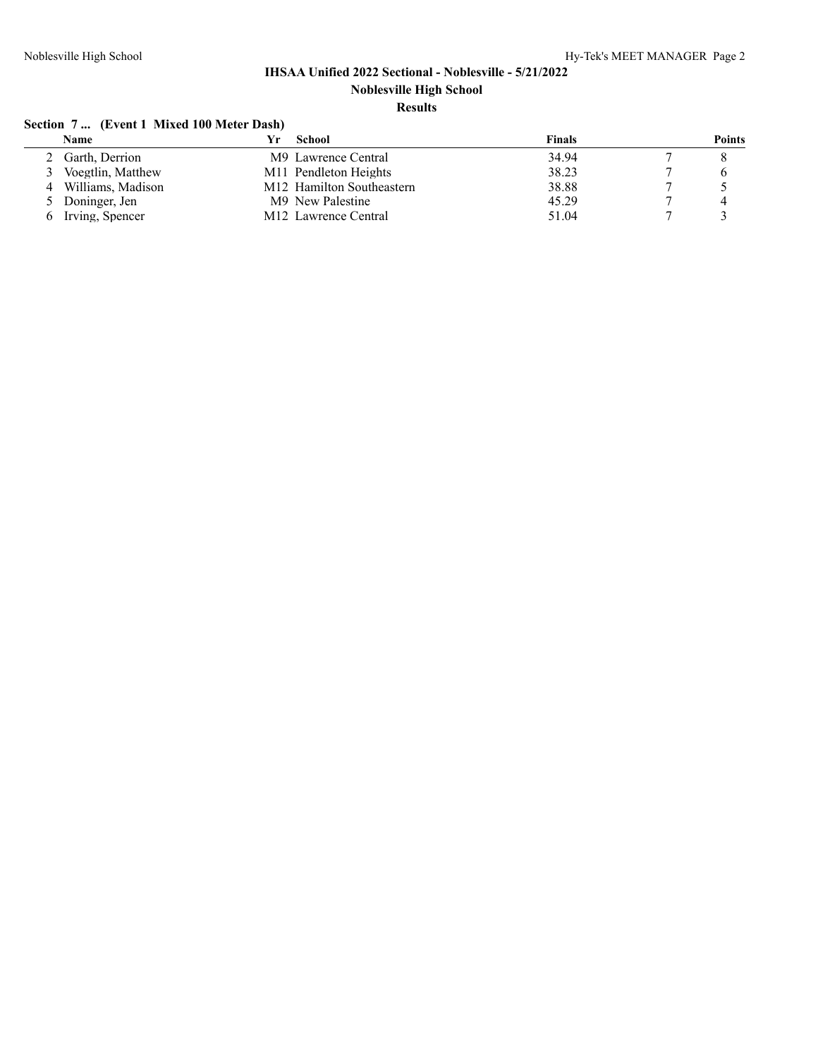## **Results**

# **Section 7 ... (Event 1 Mixed 100 Meter Dash)**

|        | Name              | School                            | Finals | <b>Points</b>  |
|--------|-------------------|-----------------------------------|--------|----------------|
|        | Garth, Derrion    | M9 Lawrence Central               | 34.94  |                |
| 3      | Voegtlin, Matthew | M <sub>11</sub> Pendleton Heights | 38.23  |                |
| 4      | Williams, Madison | M12 Hamilton Southeastern         | 38.88  |                |
| $\sim$ | Doninger, Jen     | M9 New Palestine                  | 45.29  | $\overline{4}$ |
| -6     | Irving, Spencer   | M <sub>12</sub> Lawrence Central  | 51.04  |                |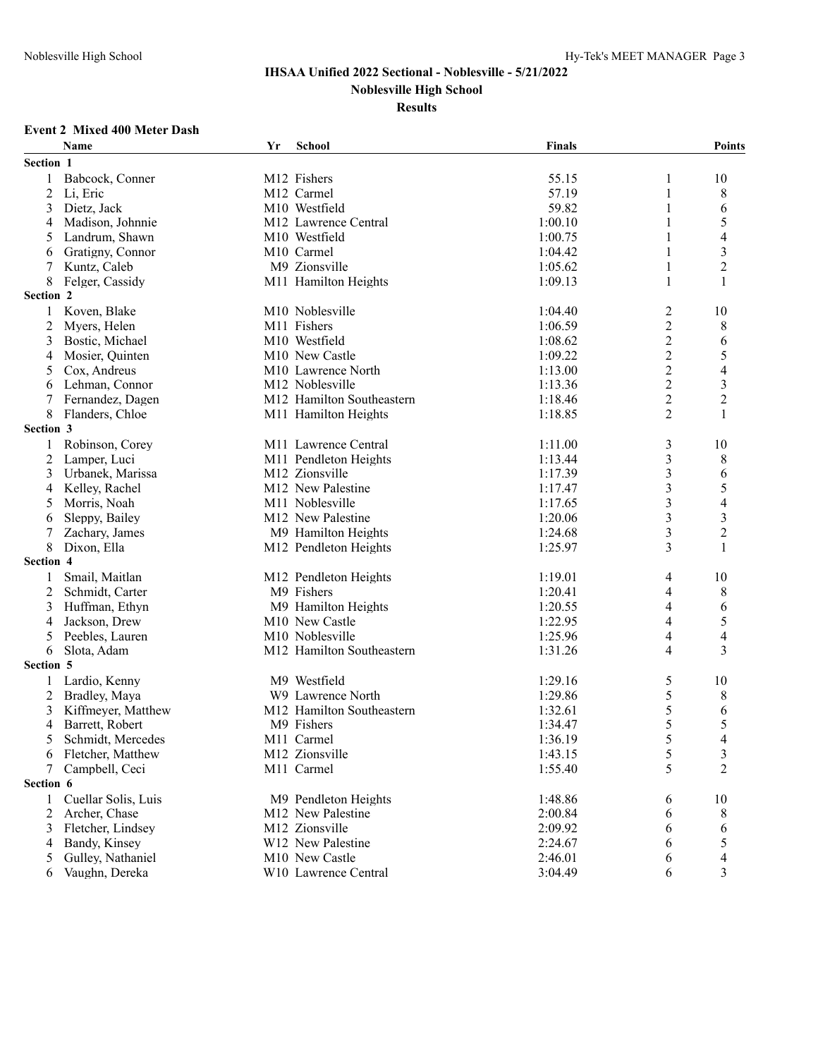**Noblesville High School**

**Results**

#### **Event 2 Mixed 400 Meter Dash**

|                  | <b>Name</b>         | Yr | School                        | <b>Finals</b> |                | <b>Points</b>            |
|------------------|---------------------|----|-------------------------------|---------------|----------------|--------------------------|
| <b>Section 1</b> |                     |    |                               |               |                |                          |
| 1                | Babcock, Conner     |    | M12 Fishers                   | 55.15         | 1              | 10                       |
| 2                | Li, Eric            |    | M12 Carmel                    | 57.19         | 1              | 8                        |
| 3                | Dietz, Jack         |    | M10 Westfield                 | 59.82         | 1              | 6                        |
| 4                | Madison, Johnnie    |    | M12 Lawrence Central          | 1:00.10       | 1              | 5                        |
| 5                | Landrum, Shawn      |    | M10 Westfield                 | 1:00.75       |                | 4                        |
| 6                | Gratigny, Connor    |    | M <sub>10</sub> Carmel        | 1:04.42       | 1              | $\mathfrak{Z}$           |
| 7                | Kuntz, Caleb        |    | M9 Zionsville                 | 1:05.62       | 1              | $\overline{c}$           |
| 8                | Felger, Cassidy     |    | M11 Hamilton Heights          | 1:09.13       | 1              | $\mathbf{1}$             |
| Section 2        |                     |    |                               |               |                |                          |
| 1                | Koven, Blake        |    | M10 Noblesville               | 1:04.40       | $\overline{c}$ | 10                       |
| 2                | Myers, Helen        |    | M11 Fishers                   | 1:06.59       | $\overline{c}$ | 8                        |
| 3                | Bostic, Michael     |    | M <sub>10</sub> Westfield     | 1:08.62       | $\overline{c}$ | 6                        |
| 4                | Mosier, Quinten     |    | M <sub>10</sub> New Castle    | 1:09.22       | $\overline{c}$ | 5                        |
| 5                | Cox, Andreus        |    | M10 Lawrence North            | 1:13.00       | $\overline{c}$ | 4                        |
| 6                | Lehman, Connor      |    | M <sub>12</sub> Noblesville   | 1:13.36       | $\overline{c}$ | $\mathfrak{Z}$           |
| 7                | Fernandez, Dagen    |    | M12 Hamilton Southeastern     | 1:18.46       | $\overline{c}$ | $\overline{c}$           |
| 8                | Flanders, Chloe     |    | M11 Hamilton Heights          | 1:18.85       | 2              | 1                        |
| <b>Section 3</b> |                     |    |                               |               |                |                          |
| 1                | Robinson, Corey     |    | M11 Lawrence Central          | 1:11.00       | 3              | 10                       |
| 2                | Lamper, Luci        |    | M11 Pendleton Heights         | 1:13.44       | 3              | 8                        |
| 3                | Urbanek, Marissa    |    | M12 Zionsville                | 1:17.39       | 3              | 6                        |
| 4                | Kelley, Rachel      |    | M <sub>12</sub> New Palestine | 1:17.47       | 3              | 5                        |
| 5                | Morris, Noah        |    | M11 Noblesville               | 1:17.65       | 3              | 4                        |
|                  | Sleppy, Bailey      |    | M <sub>12</sub> New Palestine | 1:20.06       | 3              | $\mathfrak{Z}$           |
| 6                |                     |    |                               |               |                | $\overline{c}$           |
| 7                | Zachary, James      |    | M9 Hamilton Heights           | 1:24.68       | 3<br>3         | 1                        |
| 8<br>Section 4   | Dixon, Ella         |    | M12 Pendleton Heights         | 1:25.97       |                |                          |
|                  |                     |    |                               |               |                |                          |
| 1                | Smail, Maitlan      |    | M12 Pendleton Heights         | 1:19.01       | 4              | 10                       |
| 2                | Schmidt, Carter     |    | M9 Fishers                    | 1:20.41       | 4              | 8                        |
| 3                | Huffman, Ethyn      |    | M9 Hamilton Heights           | 1:20.55       | 4              | 6                        |
| 4                | Jackson, Drew       |    | M10 New Castle                | 1:22.95       | 4              | 5                        |
| 5                | Peebles, Lauren     |    | M10 Noblesville               | 1:25.96       | 4              | $\overline{4}$           |
| 6                | Slota, Adam         |    | M12 Hamilton Southeastern     | 1:31.26       | 4              | 3                        |
| <b>Section 5</b> |                     |    |                               |               |                |                          |
| 1                | Lardio, Kenny       |    | M9 Westfield                  | 1:29.16       | 5              | 10                       |
| 2                | Bradley, Maya       |    | W9 Lawrence North             | 1:29.86       | 5              | 8                        |
| 3                | Kiffmeyer, Matthew  |    | M12 Hamilton Southeastern     | 1:32.61       | 5              | 6                        |
| 4                | Barrett, Robert     |    | M9 Fishers                    | 1:34.47       | 5              | 5                        |
| 5                | Schmidt, Mercedes   |    | M11 Carmel                    | 1:36.19       | 5              | 4                        |
| 6                | Fletcher, Matthew   |    | M12 Zionsville                | 1:43.15       | $\mathfrak s$  | $\mathfrak{Z}$           |
| 7                | Campbell, Ceci      |    | M11 Carmel                    | 1:55.40       | 5              | $\overline{2}$           |
| Section 6        |                     |    |                               |               |                |                          |
| 1                | Cuellar Solis, Luis |    | M9 Pendleton Heights          | 1:48.86       | 6              | 10                       |
| 2                | Archer, Chase       |    | M <sub>12</sub> New Palestine | 2:00.84       | 6              | 8                        |
| 3                | Fletcher, Lindsey   |    | M12 Zionsville                | 2:09.92       | 6              | 6                        |
| 4                | Bandy, Kinsey       |    | W12 New Palestine             | 2:24.67       | 6              | 5                        |
| 5                | Gulley, Nathaniel   |    | M10 New Castle                | 2:46.01       | 6              | $\overline{\mathcal{L}}$ |
| 6                | Vaughn, Dereka      |    | W10 Lawrence Central          | 3:04.49       | 6              | $\mathfrak{Z}$           |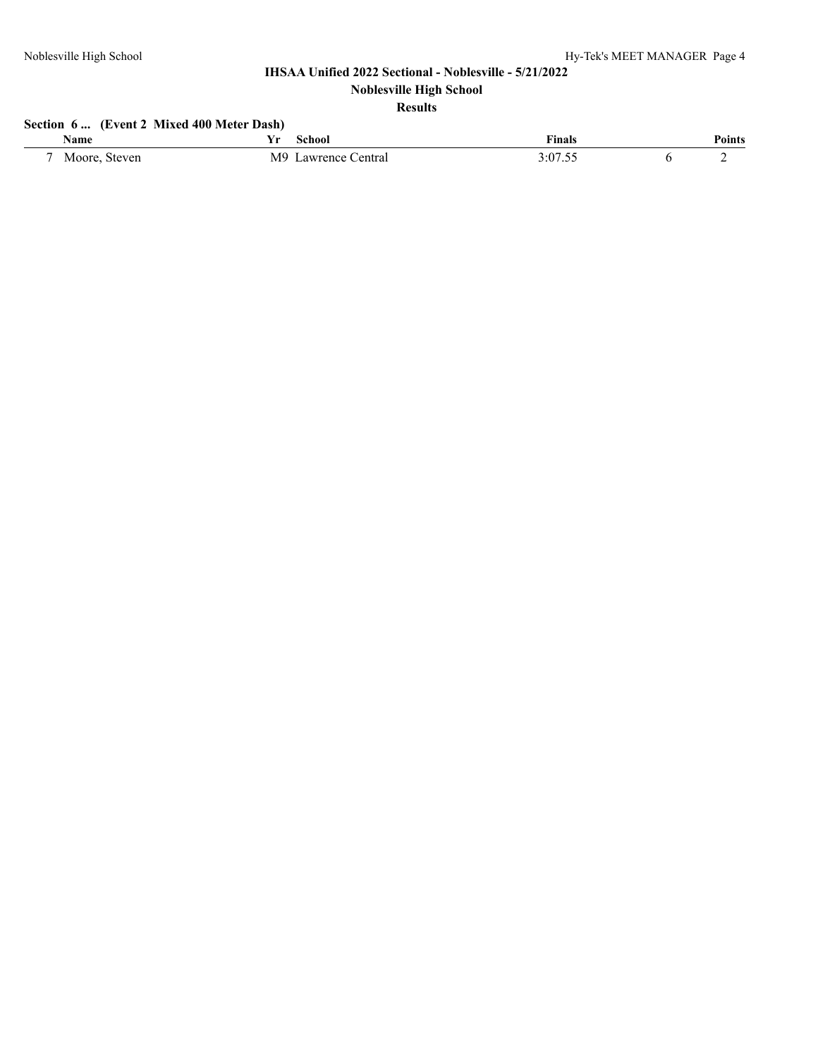# **Results**

## **Section 6 ... (Event 2 Mixed 400 Meter Dash)**

| <b>Name</b>      | school                                 | <b>Finals</b> | ∽.<br>'oınts |
|------------------|----------------------------------------|---------------|--------------|
| Moore,<br>Steven | M <sub>9</sub><br>∠entral<br>awrence ( | 3:07.55       |              |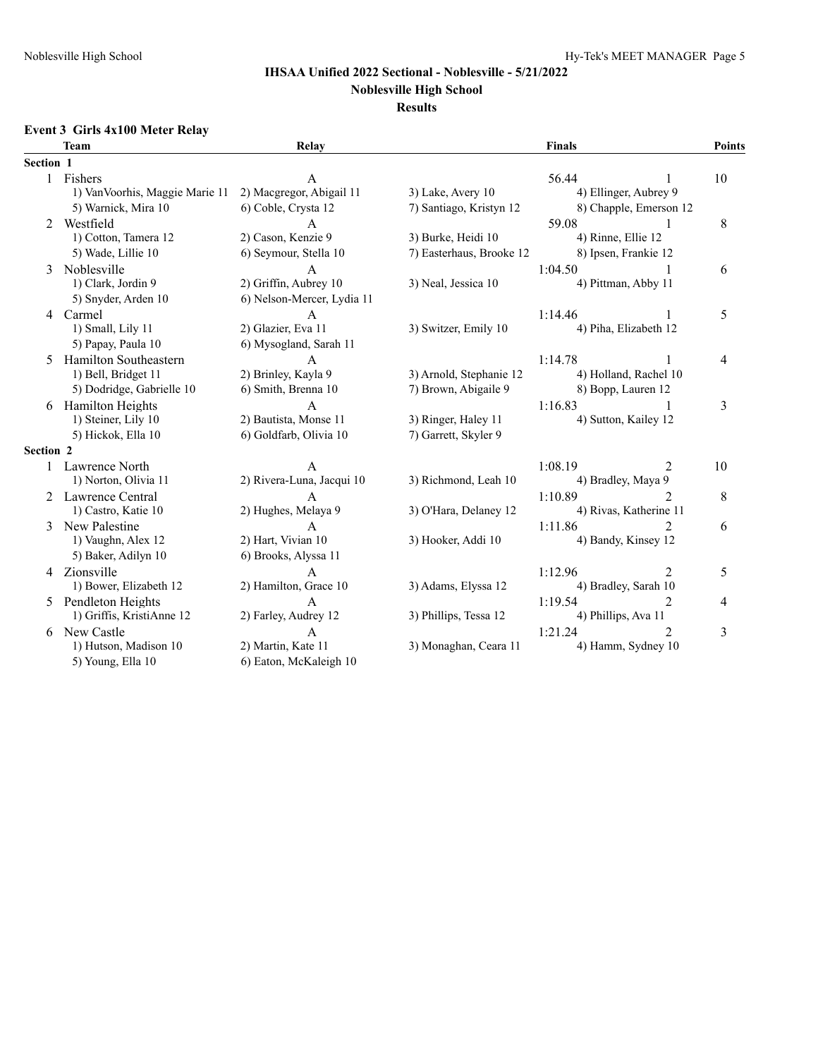#### **Noblesville High School**

#### **Results**

## **Event 3 Girls 4x100 Meter Relay**

|                  | <b>Team</b>                     | Relay                      |                          | <b>Finals</b>          | Points              |
|------------------|---------------------------------|----------------------------|--------------------------|------------------------|---------------------|
| Section 1        |                                 |                            |                          |                        |                     |
|                  | 1 Fishers                       | A                          |                          | 56.44                  | 10                  |
|                  | 1) Van Voorhis, Maggie Marie 11 | 2) Macgregor, Abigail 11   | 3) Lake, Avery 10        | 4) Ellinger, Aubrey 9  |                     |
|                  | 5) Warnick, Mira 10             | 6) Coble, Crysta 12        | 7) Santiago, Kristyn 12  | 8) Chapple, Emerson 12 |                     |
|                  | 2 Westfield                     | $\mathsf{A}$               |                          | 59.08                  | 8<br>-1             |
|                  | 1) Cotton, Tamera 12            | 2) Cason, Kenzie 9         | 3) Burke, Heidi 10       | 4) Rinne, Ellie 12     |                     |
|                  | 5) Wade, Lillie 10              | 6) Seymour, Stella 10      | 7) Easterhaus, Brooke 12 | 8) Ipsen, Frankie 12   |                     |
| 3                | Noblesville                     | $\mathbf{A}$               |                          | 1:04.50                | 6                   |
|                  | 1) Clark, Jordin 9              | 2) Griffin, Aubrey 10      | 3) Neal, Jessica 10      | 4) Pittman, Abby 11    |                     |
|                  | 5) Snyder, Arden 10             | 6) Nelson-Mercer, Lydia 11 |                          |                        |                     |
| $\overline{4}$   | Carmel                          | $\mathbf{A}$               |                          | 1:14.46                | 5<br>$\mathbf{1}$   |
|                  | 1) Small, Lily 11               | 2) Glazier, Eva 11         | 3) Switzer, Emily 10     | 4) Piha, Elizabeth 12  |                     |
|                  | 5) Papay, Paula 10              | 6) Mysogland, Sarah 11     |                          |                        |                     |
| 5                | Hamilton Southeastern           | A                          |                          | 1:14.78                | 4                   |
|                  | 1) Bell, Bridget 11             | 2) Brinley, Kayla 9        | 3) Arnold, Stephanie 12  | 4) Holland, Rachel 10  |                     |
|                  | 5) Dodridge, Gabrielle 10       | 6) Smith, Brenna 10        | 7) Brown, Abigaile 9     | 8) Bopp, Lauren 12     |                     |
| 6                | <b>Hamilton Heights</b>         | $\overline{A}$             |                          | 1:16.83                | 3                   |
|                  | 1) Steiner, Lily 10             | 2) Bautista, Monse 11      | 3) Ringer, Haley 11      | 4) Sutton, Kailey 12   |                     |
|                  | 5) Hickok, Ella 10              | 6) Goldfarb, Olivia 10     | 7) Garrett, Skyler 9     |                        |                     |
| <b>Section 2</b> |                                 |                            |                          |                        |                     |
|                  | Lawrence North                  | A                          |                          | 1:08.19                | 2<br>10             |
|                  | 1) Norton, Olivia 11            | 2) Rivera-Luna, Jacqui 10  | 3) Richmond, Leah 10     | 4) Bradley, Maya 9     |                     |
|                  | 2 Lawrence Central              | $\mathsf{A}$               |                          | 1:10.89                | $\mathfrak{D}$<br>8 |
|                  | 1) Castro, Katie 10             | 2) Hughes, Melaya 9        | 3) O'Hara, Delaney 12    | 4) Rivas, Katherine 11 |                     |
| 3                | New Palestine                   | $\mathsf{A}$               |                          | 1:11.86                | $\mathfrak{D}$<br>6 |
|                  | 1) Vaughn, Alex 12              | 2) Hart, Vivian 10         | 3) Hooker, Addi 10       | 4) Bandy, Kinsey 12    |                     |
|                  | 5) Baker, Adilyn 10             | 6) Brooks, Alyssa 11       |                          |                        |                     |
|                  | 4 Zionsville                    | A                          |                          | 1:12.96                | 2<br>5              |
|                  | 1) Bower, Elizabeth 12          | 2) Hamilton, Grace 10      | 3) Adams, Elyssa 12      | 4) Bradley, Sarah 10   |                     |
| 5                | Pendleton Heights               | A                          |                          | 1:19.54                | $\mathfrak{D}$<br>4 |
|                  | 1) Griffis, KristiAnne 12       | 2) Farley, Audrey 12       | 3) Phillips, Tessa 12    | 4) Phillips, Ava 11    |                     |
| 6                | New Castle                      | $\overline{A}$             |                          | 1:21.24                | 3<br>$\mathfrak{D}$ |
|                  | 1) Hutson, Madison 10           | 2) Martin, Kate 11         | 3) Monaghan, Ceara 11    | 4) Hamm, Sydney 10     |                     |
|                  | 5) Young, Ella 10               | 6) Eaton, McKaleigh 10     |                          |                        |                     |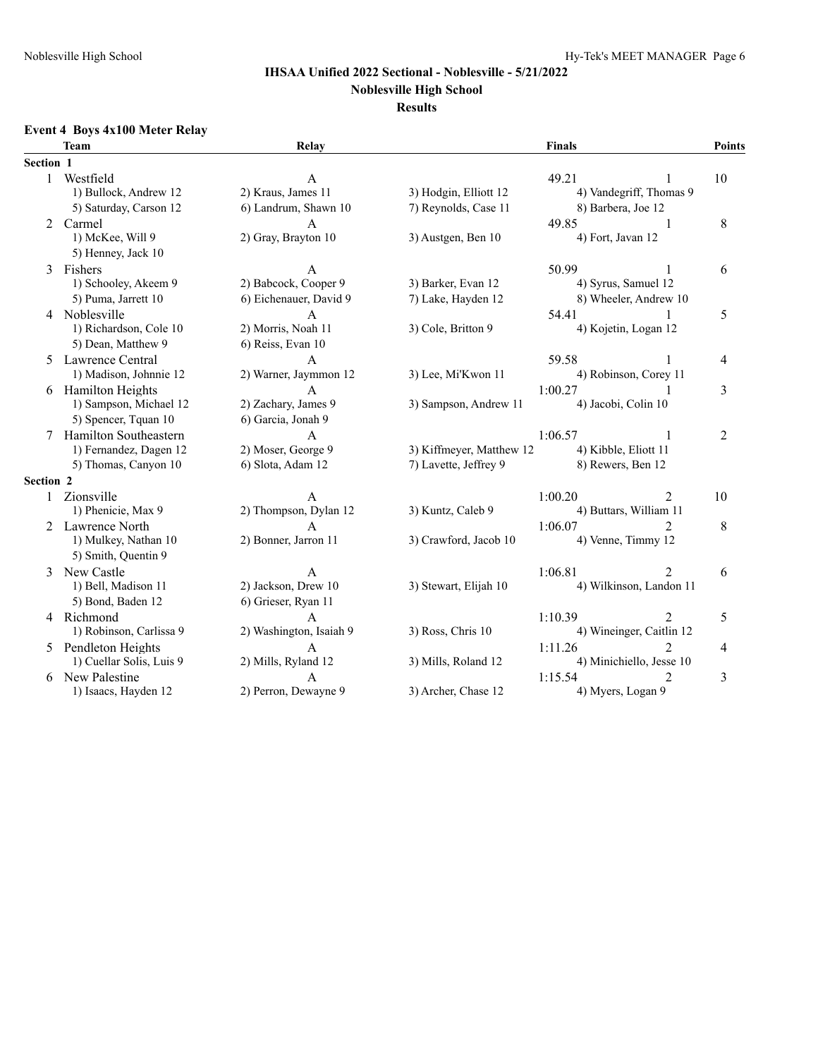## **Noblesville High School**

#### **Results**

## **Event 4 Boys 4x100 Meter Relay**

|           | <b>Team</b>              | Relay                   |                          | <b>Finals</b>          |                          | Points         |
|-----------|--------------------------|-------------------------|--------------------------|------------------------|--------------------------|----------------|
| Section 1 |                          |                         |                          |                        |                          |                |
| 1         | Westfield                | A                       |                          | 49.21                  |                          | 10             |
|           | 1) Bullock, Andrew 12    | 2) Kraus, James 11      | 3) Hodgin, Elliott 12    |                        | 4) Vandegriff, Thomas 9  |                |
|           | 5) Saturday, Carson 12   | 8) Barbera, Joe 12      |                          |                        |                          |                |
| 2         | Carmel                   | A                       |                          | 49.85                  |                          | 8              |
|           | 1) McKee, Will 9         | 2) Gray, Brayton 10     | 3) Austgen, Ben 10       | 4) Fort, Javan 12      |                          |                |
|           | 5) Henney, Jack 10       |                         |                          |                        |                          |                |
| 3         | Fishers                  | А                       |                          | 50.99                  |                          | 6              |
|           | 1) Schooley, Akeem 9     | 2) Babcock, Cooper 9    | 3) Barker, Evan 12       | 4) Syrus, Samuel 12    |                          |                |
|           | 5) Puma, Jarrett 10      | 6) Eichenauer, David 9  | 7) Lake, Hayden 12       |                        | 8) Wheeler, Andrew 10    |                |
| 4         | Noblesville              | $\overline{A}$          |                          | 54.41                  |                          | 5              |
|           | 1) Richardson, Cole 10   | 2) Morris, Noah 11      | 3) Cole, Britton 9       | 4) Kojetin, Logan 12   |                          |                |
|           | 5) Dean, Matthew 9       | 6) Reiss, Evan 10       |                          |                        |                          |                |
| 5.        | Lawrence Central         | $\mathbf{A}$            |                          | 59.58                  |                          | 4              |
|           | 1) Madison, Johnnie 12   | 2) Warner, Jaymmon 12   | 3) Lee, Mi'Kwon 11       | 4) Robinson, Corey 11  |                          |                |
| 6         | <b>Hamilton Heights</b>  | $\overline{A}$          |                          | 1:00.27                | 1                        | 3              |
|           | 1) Sampson, Michael 12   | 2) Zachary, James 9     | 3) Sampson, Andrew 11    | 4) Jacobi, Colin 10    |                          |                |
|           | 5) Spencer, Tquan 10     | 6) Garcia, Jonah 9      |                          |                        |                          |                |
| 7         | Hamilton Southeastern    | $\mathbf{A}$            |                          | 1:06.57                | -1                       | $\overline{2}$ |
|           | 1) Fernandez, Dagen 12   | 2) Moser, George 9      | 3) Kiffmeyer, Matthew 12 | 4) Kibble, Eliott 11   |                          |                |
|           | 5) Thomas, Canyon 10     | 6) Slota, Adam 12       | 7) Lavette, Jeffrey 9    | 8) Rewers, Ben 12      |                          |                |
| Section 2 |                          |                         |                          |                        |                          |                |
|           | Zionsville               | $\overline{A}$          |                          | 1:00.20                | $\overline{2}$           | 10             |
|           | 1) Phenicie, Max 9       | 2) Thompson, Dylan 12   | 3) Kuntz, Caleb 9        | 4) Buttars, William 11 |                          |                |
|           | 2 Lawrence North         | $\overline{A}$          |                          | 1:06.07                | $\overline{2}$           | 8              |
|           | 1) Mulkey, Nathan 10     | 2) Bonner, Jarron 11    | 3) Crawford, Jacob 10    | 4) Venne, Timmy 12     |                          |                |
|           | 5) Smith, Quentin 9      |                         |                          |                        |                          |                |
| 3         | New Castle               | A                       |                          | 1:06.81                | 2                        | 6              |
|           | 1) Bell, Madison 11      | 2) Jackson, Drew 10     | 3) Stewart, Elijah 10    |                        | 4) Wilkinson, Landon 11  |                |
|           | 5) Bond, Baden 12        | 6) Grieser, Ryan 11     |                          |                        |                          |                |
|           | 4 Richmond               | $\mathbf{A}$            |                          | 1:10.39                | 2                        | 5              |
|           | 1) Robinson, Carlissa 9  | 2) Washington, Isaiah 9 | 3) Ross, Chris 10        |                        | 4) Wineinger, Caitlin 12 |                |
| 5         | Pendleton Heights        | $\overline{A}$          |                          | 1:11.26                | $\overline{2}$           | 4              |
|           | 1) Cuellar Solis, Luis 9 | 2) Mills, Ryland 12     | 3) Mills, Roland 12      |                        | 4) Minichiello, Jesse 10 |                |
| 6         | New Palestine            | А                       |                          | 1:15.54                | 2                        | 3              |
|           | 1) Isaacs, Hayden 12     | 2) Perron, Dewayne 9    | 3) Archer, Chase 12      | 4) Myers, Logan 9      |                          |                |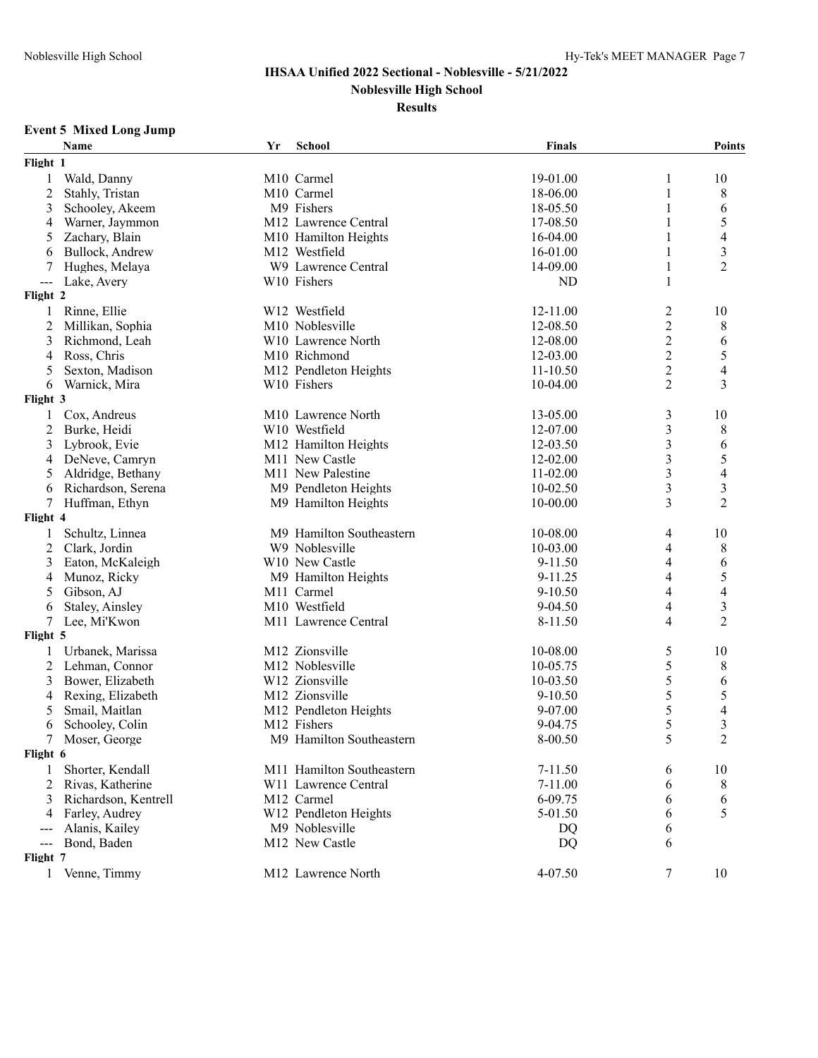## **Results**

## **Event 5 Mixed Long Jump**

|                            | Name                 | Yr | <b>School</b>                    | <b>Finals</b> |                | <b>Points</b>            |
|----------------------------|----------------------|----|----------------------------------|---------------|----------------|--------------------------|
| Flight 1                   |                      |    |                                  |               |                |                          |
| 1                          | Wald, Danny          |    | M10 Carmel                       | 19-01.00      | 1              | 10                       |
| $\overline{2}$             | Stahly, Tristan      |    | M10 Carmel                       | 18-06.00      | 1              | 8                        |
| 3                          | Schooley, Akeem      |    | M9 Fishers                       | 18-05.50      | 1              | 6                        |
| 4                          | Warner, Jaymmon      |    | M12 Lawrence Central             | 17-08.50      |                | 5                        |
| 5                          | Zachary, Blain       |    | M10 Hamilton Heights             | 16-04.00      | 1              | $\overline{4}$           |
| 6                          | Bullock, Andrew      |    | M12 Westfield                    | 16-01.00      | 1              | $\mathfrak{Z}$           |
| 7                          | Hughes, Melaya       |    | W9 Lawrence Central              | 14-09.00      | 1              | $\overline{2}$           |
| $\qquad \qquad \text{---}$ | Lake, Avery          |    | W10 Fishers                      | <b>ND</b>     | 1              |                          |
| Flight 2                   |                      |    |                                  |               |                |                          |
| 1                          | Rinne, Ellie         |    | W12 Westfield                    | 12-11.00      | 2              | 10                       |
| $\overline{2}$             | Millikan, Sophia     |    | M10 Noblesville                  | 12-08.50      | $\overline{c}$ | 8                        |
| 3                          | Richmond, Leah       |    | W10 Lawrence North               | 12-08.00      | $\overline{c}$ | 6                        |
| 4                          | Ross, Chris          |    | M10 Richmond                     | 12-03.00      | $\overline{c}$ | 5                        |
| 5                          | Sexton, Madison      |    | M12 Pendleton Heights            | $11 - 10.50$  | $\overline{c}$ | $\overline{4}$           |
| 6                          | Warnick, Mira        |    | W10 Fishers                      | 10-04.00      | 2              | 3                        |
| Flight 3                   |                      |    |                                  |               |                |                          |
| 1                          | Cox, Andreus         |    | M10 Lawrence North               | 13-05.00      | 3              | 10                       |
| 2                          | Burke, Heidi         |    | W10 Westfield                    | 12-07.00      | 3              | 8                        |
| 3                          | Lybrook, Evie        |    | M12 Hamilton Heights             | 12-03.50      | 3              | 6                        |
| 4                          | DeNeve, Camryn       |    | M11 New Castle                   | 12-02.00      | 3              | 5                        |
| 5                          | Aldridge, Bethany    |    | M <sub>11</sub> New Palestine    | 11-02.00      | 3              | $\overline{\mathcal{L}}$ |
| 6                          | Richardson, Serena   |    | M9 Pendleton Heights             | 10-02.50      | 3              | 3                        |
| 7                          | Huffman, Ethyn       |    | M9 Hamilton Heights              | 10-00.00      | 3              | $\overline{2}$           |
| Flight 4                   |                      |    |                                  |               |                |                          |
| 1                          | Schultz, Linnea      |    | M9 Hamilton Southeastern         | 10-08.00      | 4              | 10                       |
| $\overline{c}$             | Clark, Jordin        |    | W9 Noblesville                   | 10-03.00      | 4              | 8                        |
| 3                          | Eaton, McKaleigh     |    | W10 New Castle                   | 9-11.50       | 4              | 6                        |
| 4                          | Munoz, Ricky         |    | M9 Hamilton Heights              | 9-11.25       | 4              | 5                        |
| 5                          | Gibson, AJ           |    | M11 Carmel                       | $9 - 10.50$   | 4              | $\overline{4}$           |
| 6                          | Staley, Ainsley      |    | M10 Westfield                    | 9-04.50       | 4              | 3                        |
| 7                          | Lee, Mi'Kwon         |    | M11 Lawrence Central             | 8-11.50       | 4              | $\overline{2}$           |
| Flight 5                   |                      |    |                                  |               |                |                          |
| 1                          | Urbanek, Marissa     |    | M12 Zionsville                   | 10-08.00      | 5              | 10                       |
| 2                          | Lehman, Connor       |    | M12 Noblesville                  | 10-05.75      | 5              | 8                        |
| 3                          | Bower, Elizabeth     |    | W12 Zionsville                   | 10-03.50      | 5              | 6                        |
| 4                          | Rexing, Elizabeth    |    | M12 Zionsville                   | $9 - 10.50$   | 5              | 5                        |
| 5                          | Smail, Maitlan       |    | M12 Pendleton Heights            | 9-07.00       | 5              | 4                        |
| 6                          | Schooley, Colin      |    | M12 Fishers                      | 9-04.75       | 5              | $\mathfrak{Z}$           |
|                            | 7 Moser, George      |    | M9 Hamilton Southeastern         | 8-00.50       | 5              | $\overline{2}$           |
| Flight 6                   |                      |    |                                  |               |                |                          |
| 1                          | Shorter, Kendall     |    | M11 Hamilton Southeastern        | $7 - 11.50$   | 6              | 10                       |
| 2                          | Rivas, Katherine     |    | W <sub>11</sub> Lawrence Central | $7 - 11.00$   | 6              | 8                        |
| 3                          | Richardson, Kentrell |    | M12 Carmel                       | 6-09.75       | 6              | 6                        |
| 4                          | Farley, Audrey       |    | W12 Pendleton Heights            | 5-01.50       | 6              | 5                        |
| ---                        | Alanis, Kailey       |    | M9 Noblesville                   | <b>DQ</b>     | 6              |                          |
| $---$                      | Bond, Baden          |    | M12 New Castle                   | DQ            | 6              |                          |
| Flight 7                   |                      |    |                                  |               |                |                          |
| 1                          | Venne, Timmy         |    | M12 Lawrence North               | 4-07.50       | 7              | 10                       |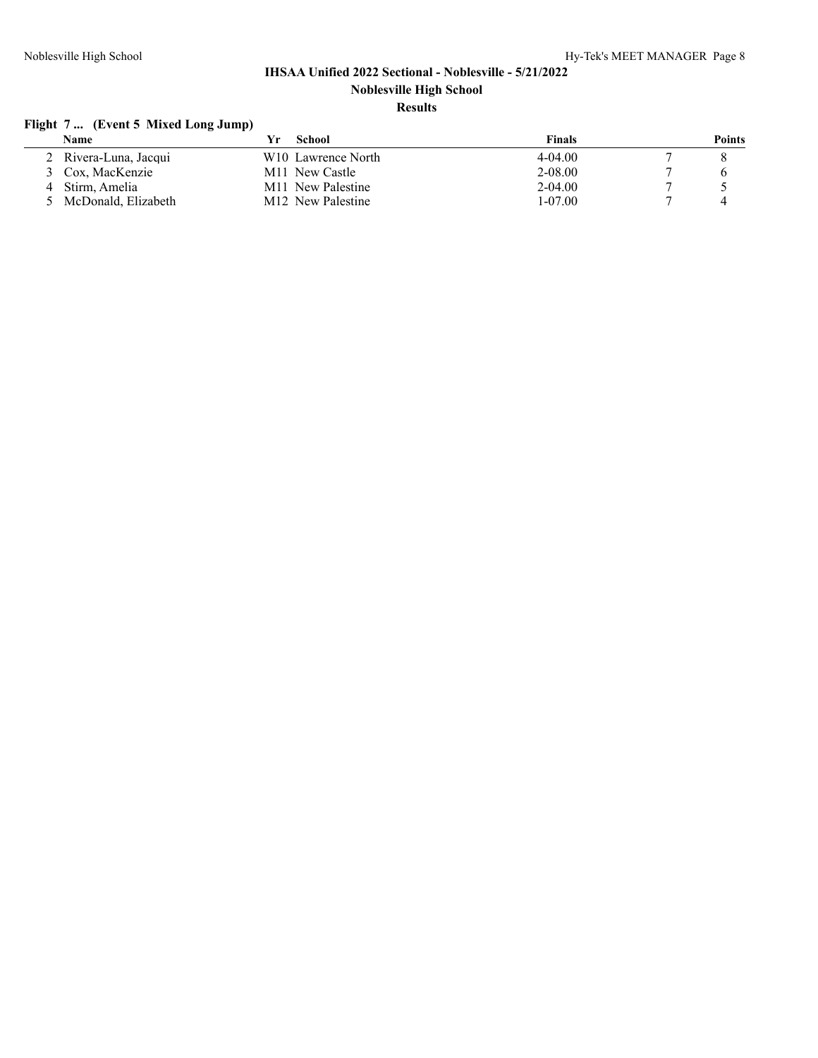## **Flight 7 ... (Event 5 Mixed Long Jump)**

| Name                  | School                         | <b>Finals</b> | Points |
|-----------------------|--------------------------------|---------------|--------|
| 2 Rivera-Luna, Jacqui | W <sub>10</sub> Lawrence North | $4-04.00$     |        |
| 3 Cox. MacKenzie      | M <sub>11</sub> New Castle     | 2-08.00       |        |
| Stirm. Amelia         | M <sub>11</sub> New Palestine  | $2 - 04.00$   |        |
| 5 McDonald, Elizabeth | M <sub>12</sub> New Palestine  | $1 - 07.00$   |        |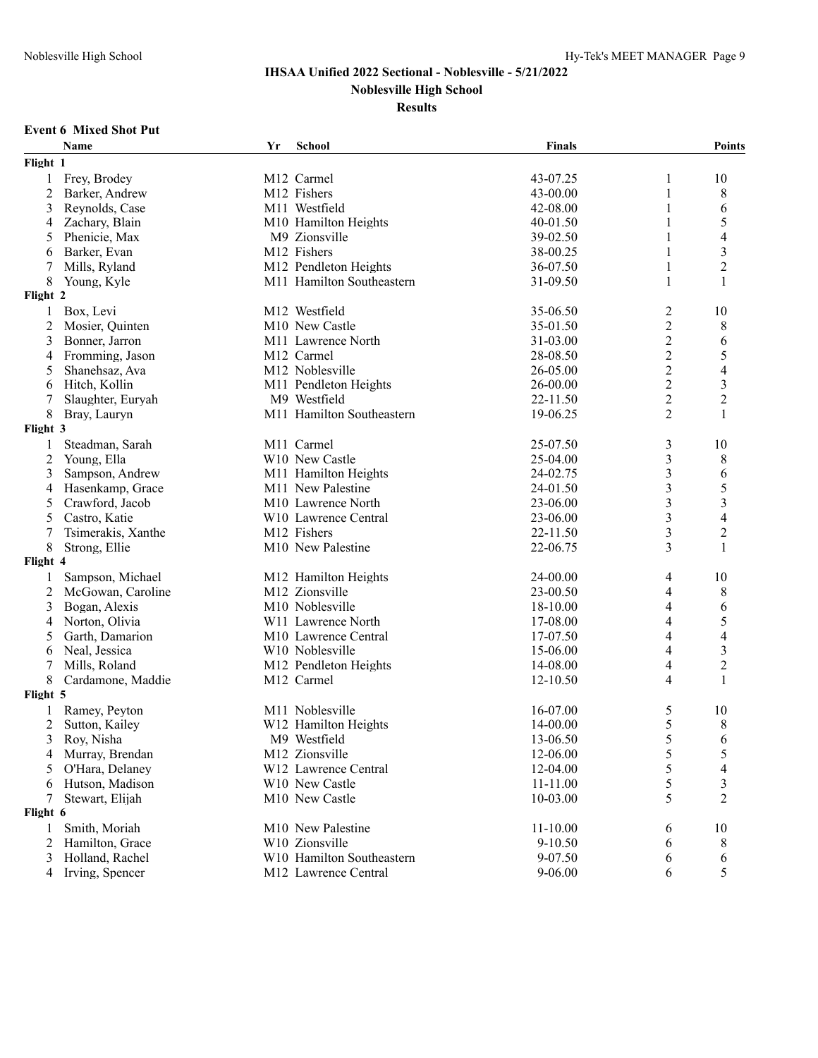**Noblesville High School**

#### **Results**

#### **Event 6 Mixed Shot Put**

|              | Name               | Yr | School                           | Finals       |                | <b>Points</b>            |
|--------------|--------------------|----|----------------------------------|--------------|----------------|--------------------------|
| Flight 1     |                    |    |                                  |              |                |                          |
|              | 1 Frey, Brodey     |    | M12 Carmel                       | 43-07.25     | 1              | 10                       |
| 2            | Barker, Andrew     |    | M12 Fishers                      | 43-00.00     | 1              | 8                        |
| 3            | Reynolds, Case     |    | M11 Westfield                    | 42-08.00     |                | 6                        |
| 4            | Zachary, Blain     |    | M10 Hamilton Heights             | 40-01.50     | 1              | 5                        |
| 5            | Phenicie, Max      |    | M9 Zionsville                    | 39-02.50     | 1              | $\overline{\mathcal{L}}$ |
| 6            | Barker, Evan       |    | M12 Fishers                      | 38-00.25     | 1              | $\mathfrak{Z}$           |
| 7            | Mills, Ryland      |    | M12 Pendleton Heights            | 36-07.50     | 1              | $\overline{2}$           |
| 8            | Young, Kyle        |    | M11 Hamilton Southeastern        | 31-09.50     | 1              | 1                        |
| Flight 2     |                    |    |                                  |              |                |                          |
| $\mathbf{1}$ | Box, Levi          |    | M12 Westfield                    | 35-06.50     | 2              | 10                       |
| 2            | Mosier, Quinten    |    | M10 New Castle                   | 35-01.50     | 2              | 8                        |
| 3            | Bonner, Jarron     |    | M <sub>11</sub> Lawrence North   | 31-03.00     | $\overline{2}$ | 6                        |
| 4            | Fromming, Jason    |    | M12 Carmel                       | 28-08.50     | $\overline{c}$ | 5                        |
| 5            | Shanehsaz, Ava     |    | M12 Noblesville                  | 26-05.00     | $\overline{c}$ | $\overline{\mathcal{L}}$ |
| 6            | Hitch, Kollin      |    | M11 Pendleton Heights            | 26-00.00     | $\overline{c}$ | $\mathfrak{Z}$           |
|              | Slaughter, Euryah  |    | M9 Westfield                     | 22-11.50     | $\overline{c}$ | $\overline{2}$           |
| 8            | Bray, Lauryn       |    | M11 Hamilton Southeastern        | 19-06.25     | 2              | 1                        |
| Flight 3     |                    |    |                                  |              |                |                          |
| $\mathbf{1}$ | Steadman, Sarah    |    | M11 Carmel                       | 25-07.50     | 3              | 10                       |
| 2            | Young, Ella        |    | W10 New Castle                   | 25-04.00     | 3              | 8                        |
| 3            | Sampson, Andrew    |    | M11 Hamilton Heights             | 24-02.75     | 3              | 6                        |
| 4            | Hasenkamp, Grace   |    | M11 New Palestine                | 24-01.50     | 3              | 5                        |
| 5            | Crawford, Jacob    |    | M <sub>10</sub> Lawrence North   | 23-06.00     | 3              | 3                        |
| 5            | Castro, Katie      |    | W10 Lawrence Central             | 23-06.00     | 3              | $\overline{\mathbf{4}}$  |
| 7            | Tsimerakis, Xanthe |    | M12 Fishers                      | 22-11.50     | 3              | $\overline{2}$           |
| 8            |                    |    | M10 New Palestine                | 22-06.75     | 3              | 1                        |
| Flight 4     | Strong, Ellie      |    |                                  |              |                |                          |
|              |                    |    |                                  |              |                |                          |
| 1            | Sampson, Michael   |    | M12 Hamilton Heights             | 24-00.00     | 4              | 10                       |
| 2            | McGowan, Caroline  |    | M12 Zionsville                   | 23-00.50     | 4              | 8                        |
| 3            | Bogan, Alexis      |    | M10 Noblesville                  | 18-10.00     | 4              | 6                        |
| 4            | Norton, Olivia     |    | W11 Lawrence North               | 17-08.00     | 4              | 5                        |
| 5            | Garth, Damarion    |    | M <sub>10</sub> Lawrence Central | 17-07.50     | 4              | $\overline{4}$           |
| 6            | Neal, Jessica      |    | W <sub>10</sub> Noblesville      | 15-06.00     | 4              | $\mathfrak{Z}$           |
| 7            | Mills, Roland      |    | M12 Pendleton Heights            | 14-08.00     | 4              | $\overline{2}$           |
| 8            | Cardamone, Maddie  |    | M12 Carmel                       | 12-10.50     | 4              | 1                        |
| Flight 5     |                    |    |                                  |              |                |                          |
|              | Ramey, Peyton      |    | M <sub>11</sub> Noblesville      | 16-07.00     | 5              | 10                       |
| 2            | Sutton, Kailey     |    | W12 Hamilton Heights             | 14-00.00     | 5              | 8                        |
|              | 3 Roy, Nisha       |    | M9 Westfield                     | 13-06.50     | 5              | 6                        |
| 4            | Murray, Brendan    |    | M12 Zionsville                   | 12-06.00     | 5              | 5                        |
| 5            | O'Hara, Delaney    |    | W12 Lawrence Central             | 12-04.00     | 5              | 4                        |
| 6            | Hutson, Madison    |    | W10 New Castle                   | 11-11.00     | 5              | 3                        |
| 7            | Stewart, Elijah    |    | M10 New Castle                   | 10-03.00     | 5              | 2                        |
| Flight 6     |                    |    |                                  |              |                |                          |
| 1            | Smith, Moriah      |    | M10 New Palestine                | $11 - 10.00$ | 6              | 10                       |
| 2            | Hamilton, Grace    |    | W10 Zionsville                   | 9-10.50      | 6              | 8                        |
| 3            | Holland, Rachel    |    | W10 Hamilton Southeastern        | 9-07.50      | 6              | 6                        |
| 4            | Irving, Spencer    |    | M12 Lawrence Central             | $9 - 06.00$  | 6              | 5                        |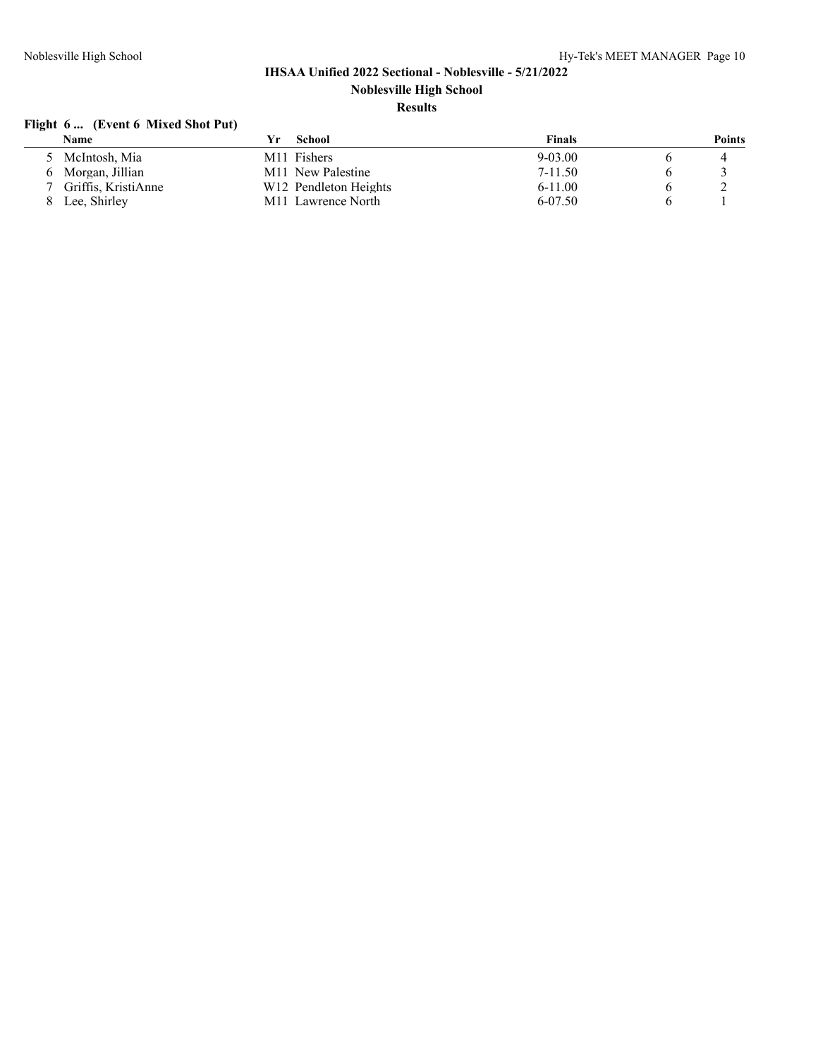## **Flight 6 ... (Event 6 Mixed Shot Put)**

| Name                | Yr. | School                            | Finals      | Points |
|---------------------|-----|-----------------------------------|-------------|--------|
| 5 McIntosh, Mia     |     | M <sub>11</sub> Fishers           | $9 - 03.00$ |        |
| 6 Morgan, Jillian   |     | M <sub>11</sub> New Palestine     | $7 - 11.50$ |        |
| Griffis. KristiAnne |     | W <sub>12</sub> Pendleton Heights | $6-11.00$   |        |
| Lee, Shirley        |     | M <sub>11</sub> Lawrence North    | 6-07.50     |        |